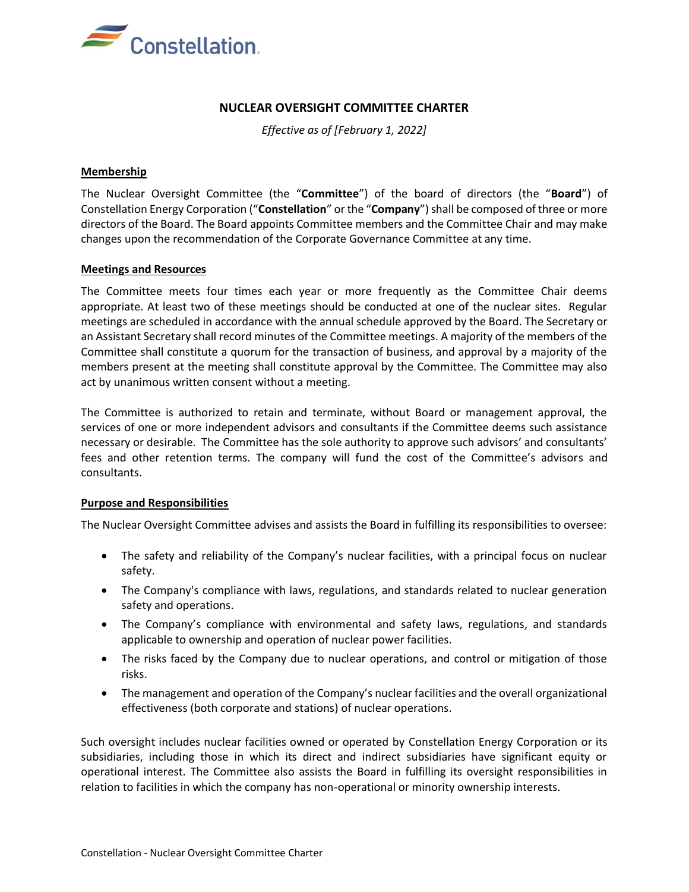

# **NUCLEAR OVERSIGHT COMMITTEE CHARTER**

*Effective as of [February 1, 2022]*

## **Membership**

The Nuclear Oversight Committee (the "**Committee**") of the board of directors (the "**Board**") of Constellation Energy Corporation ("**Constellation**" or the "**Company**") shall be composed of three or more directors of the Board. The Board appoints Committee members and the Committee Chair and may make changes upon the recommendation of the Corporate Governance Committee at any time.

## **Meetings and Resources**

The Committee meets four times each year or more frequently as the Committee Chair deems appropriate. At least two of these meetings should be conducted at one of the nuclear sites. Regular meetings are scheduled in accordance with the annual schedule approved by the Board. The Secretary or an Assistant Secretary shall record minutes of the Committee meetings. A majority of the members of the Committee shall constitute a quorum for the transaction of business, and approval by a majority of the members present at the meeting shall constitute approval by the Committee. The Committee may also act by unanimous written consent without a meeting.

The Committee is authorized to retain and terminate, without Board or management approval, the services of one or more independent advisors and consultants if the Committee deems such assistance necessary or desirable. The Committee has the sole authority to approve such advisors' and consultants' fees and other retention terms. The company will fund the cost of the Committee's advisors and consultants.

### **Purpose and Responsibilities**

The Nuclear Oversight Committee advises and assists the Board in fulfilling its responsibilities to oversee:

- The safety and reliability of the Company's nuclear facilities, with a principal focus on nuclear safety.
- The Company's compliance with laws, regulations, and standards related to nuclear generation safety and operations.
- The Company's compliance with environmental and safety laws, regulations, and standards applicable to ownership and operation of nuclear power facilities.
- The risks faced by the Company due to nuclear operations, and control or mitigation of those risks.
- The management and operation of the Company's nuclear facilities and the overall organizational effectiveness (both corporate and stations) of nuclear operations.

Such oversight includes nuclear facilities owned or operated by Constellation Energy Corporation or its subsidiaries, including those in which its direct and indirect subsidiaries have significant equity or operational interest. The Committee also assists the Board in fulfilling its oversight responsibilities in relation to facilities in which the company has non-operational or minority ownership interests.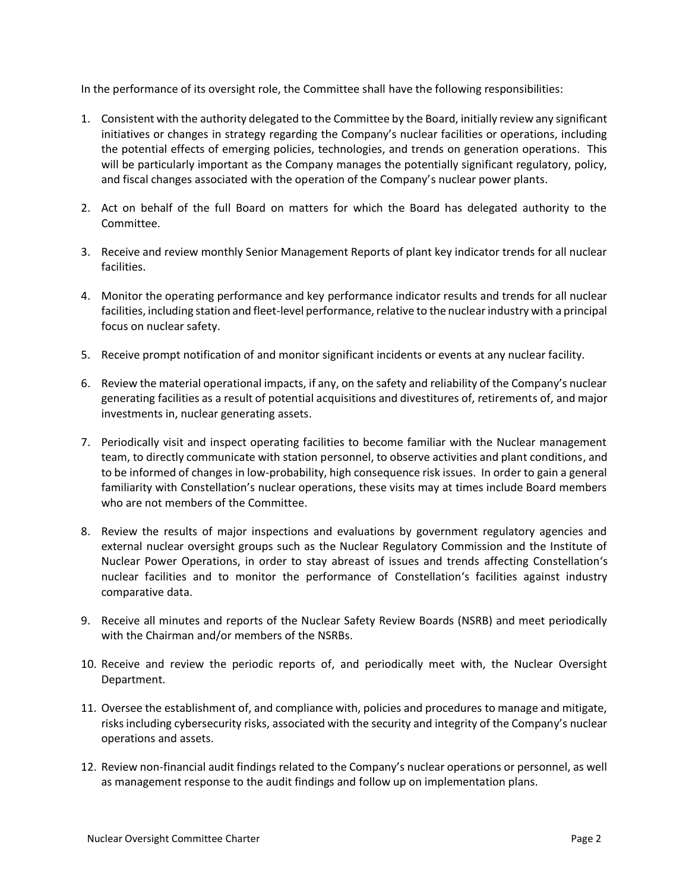In the performance of its oversight role, the Committee shall have the following responsibilities:

- 1. Consistent with the authority delegated to the Committee by the Board, initially review any significant initiatives or changes in strategy regarding the Company's nuclear facilities or operations, including the potential effects of emerging policies, technologies, and trends on generation operations. This will be particularly important as the Company manages the potentially significant regulatory, policy, and fiscal changes associated with the operation of the Company's nuclear power plants.
- 2. Act on behalf of the full Board on matters for which the Board has delegated authority to the Committee.
- 3. Receive and review monthly Senior Management Reports of plant key indicator trends for all nuclear facilities.
- 4. Monitor the operating performance and key performance indicator results and trends for all nuclear facilities, including station and fleet-level performance, relative to the nuclear industry with a principal focus on nuclear safety.
- 5. Receive prompt notification of and monitor significant incidents or events at any nuclear facility.
- 6. Review the material operational impacts, if any, on the safety and reliability of the Company's nuclear generating facilities as a result of potential acquisitions and divestitures of, retirements of, and major investments in, nuclear generating assets.
- 7. Periodically visit and inspect operating facilities to become familiar with the Nuclear management team, to directly communicate with station personnel, to observe activities and plant conditions, and to be informed of changes in low-probability, high consequence risk issues. In order to gain a general familiarity with Constellation's nuclear operations, these visits may at times include Board members who are not members of the Committee.
- 8. Review the results of major inspections and evaluations by government regulatory agencies and external nuclear oversight groups such as the Nuclear Regulatory Commission and the Institute of Nuclear Power Operations, in order to stay abreast of issues and trends affecting Constellation's nuclear facilities and to monitor the performance of Constellation's facilities against industry comparative data.
- 9. Receive all minutes and reports of the Nuclear Safety Review Boards (NSRB) and meet periodically with the Chairman and/or members of the NSRBs.
- 10. Receive and review the periodic reports of, and periodically meet with, the Nuclear Oversight Department.
- 11. Oversee the establishment of, and compliance with, policies and procedures to manage and mitigate, risks including cybersecurity risks, associated with the security and integrity of the Company's nuclear operations and assets.
- 12. Review non-financial audit findings related to the Company's nuclear operations or personnel, as well as management response to the audit findings and follow up on implementation plans.